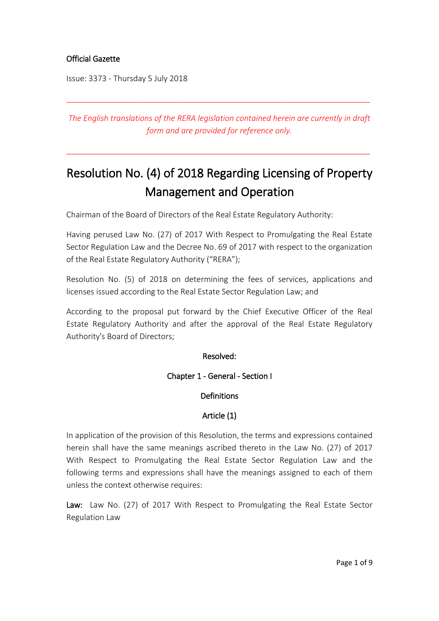# Official Gazette

Issue: 3373 - Thursday 5 July 2018

*The English translations of the RERA legislation contained herein are currently in draft form and are provided for reference only.*

\_\_\_\_\_\_\_\_\_\_\_\_\_\_\_\_\_\_\_\_\_\_\_\_\_\_\_\_\_\_\_\_\_\_\_\_\_\_\_\_\_\_\_\_\_\_\_\_\_\_\_\_\_\_\_\_\_\_\_\_\_\_\_\_\_\_\_\_\_

\_\_\_\_\_\_\_\_\_\_\_\_\_\_\_\_\_\_\_\_\_\_\_\_\_\_\_\_\_\_\_\_\_\_\_\_\_\_\_\_\_\_\_\_\_\_\_\_\_\_\_\_\_\_\_\_\_\_\_\_\_\_\_\_\_\_\_\_\_

# Resolution No. (4) of 2018 Regarding Licensing of Property Management and Operation

Chairman of the Board of Directors of the Real Estate Regulatory Authority:

Having perused Law No. (27) of 2017 With Respect to Promulgating the Real Estate Sector Regulation Law and the Decree No. 69 of 2017 with respect to the organization of the Real Estate Regulatory Authority ("RERA");

Resolution No. (5) of 2018 on determining the fees of services, applications and licenses issued according to the Real Estate Sector Regulation Law; and

According to the proposal put forward by the Chief Executive Officer of the Real Estate Regulatory Authority and after the approval of the Real Estate Regulatory Authority's Board of Directors;

#### Resolved:

Chapter 1 - General - Section I

#### **Definitions**

#### Article (1)

In application of the provision of this Resolution, the terms and expressions contained herein shall have the same meanings ascribed thereto in the Law No. (27) of 2017 With Respect to Promulgating the Real Estate Sector Regulation Law and the following terms and expressions shall have the meanings assigned to each of them unless the context otherwise requires:

Law: Law No. (27) of 2017 With Respect to Promulgating the Real Estate Sector Regulation Law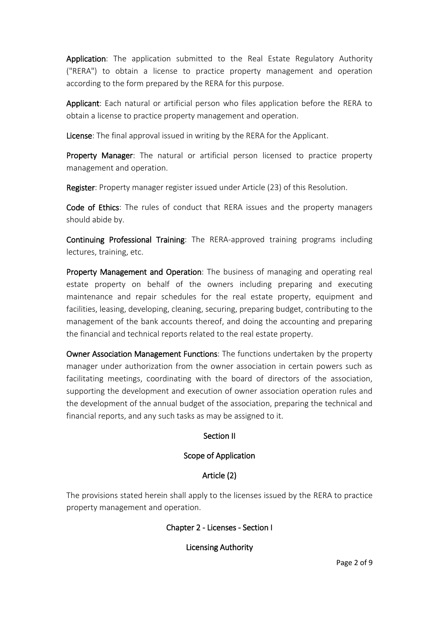Application: The application submitted to the Real Estate Regulatory Authority ("RERA") to obtain a license to practice property management and operation according to the form prepared by the RERA for this purpose.

Applicant: Each natural or artificial person who files application before the RERA to obtain a license to practice property management and operation.

License: The final approval issued in writing by the RERA for the Applicant.

Property Manager: The natural or artificial person licensed to practice property management and operation.

Register: Property manager register issued under Article (23) of this Resolution.

Code of Ethics: The rules of conduct that RERA issues and the property managers should abide by.

Continuing Professional Training: The RERA-approved training programs including lectures, training, etc.

Property Management and Operation: The business of managing and operating real estate property on behalf of the owners including preparing and executing maintenance and repair schedules for the real estate property, equipment and facilities, leasing, developing, cleaning, securing, preparing budget, contributing to the management of the bank accounts thereof, and doing the accounting and preparing the financial and technical reports related to the real estate property.

Owner Association Management Functions: The functions undertaken by the property manager under authorization from the owner association in certain powers such as facilitating meetings, coordinating with the board of directors of the association, supporting the development and execution of owner association operation rules and the development of the annual budget of the association, preparing the technical and financial reports, and any such tasks as may be assigned to it.

#### Section II

#### Scope of Application

# Article (2)

The provisions stated herein shall apply to the licenses issued by the RERA to practice property management and operation.

#### Chapter 2 - Licenses - Section I

Licensing Authority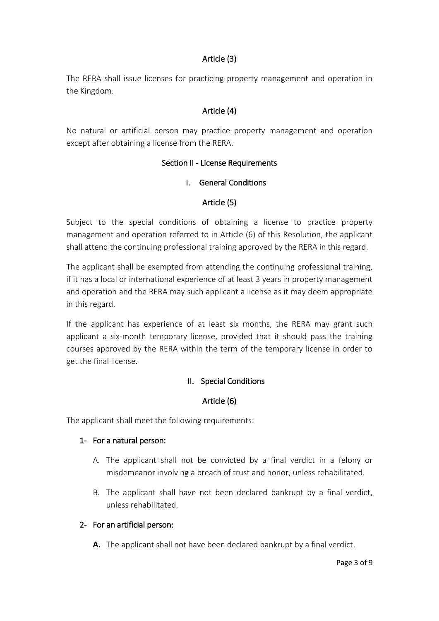# Article (3)

The RERA shall issue licenses for practicing property management and operation in the Kingdom.

# Article (4)

No natural or artificial person may practice property management and operation except after obtaining a license from the RERA.

#### Section II - License Requirements

#### I. General Conditions

#### Article (5)

Subject to the special conditions of obtaining a license to practice property management and operation referred to in Article (6) of this Resolution, the applicant shall attend the continuing professional training approved by the RERA in this regard.

The applicant shall be exempted from attending the continuing professional training, if it has a local or international experience of at least 3 years in property management and operation and the RERA may such applicant a license as it may deem appropriate in this regard.

If the applicant has experience of at least six months, the RERA may grant such applicant a six-month temporary license, provided that it should pass the training courses approved by the RERA within the term of the temporary license in order to get the final license.

#### II. Special Conditions

#### Article (6)

The applicant shall meet the following requirements:

#### 1- For a natural person:

- A. The applicant shall not be convicted by a final verdict in a felony or misdemeanor involving a breach of trust and honor, unless rehabilitated.
- B. The applicant shall have not been declared bankrupt by a final verdict, unless rehabilitated.

#### 2- For an artificial person:

**A.** The applicant shall not have been declared bankrupt by a final verdict.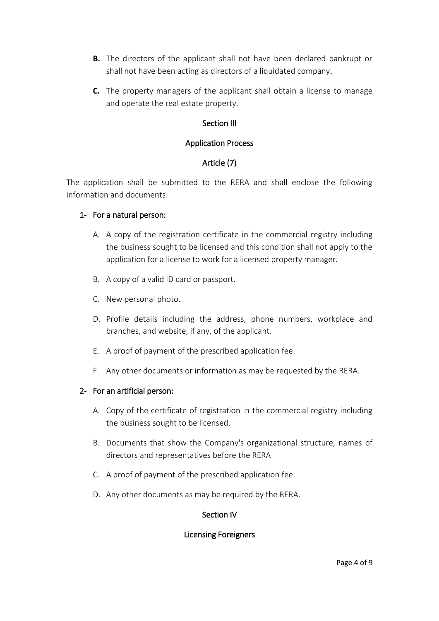- **B.** The directors of the applicant shall not have been declared bankrupt or shall not have been acting as directors of a liquidated company.
- **C.** The property managers of the applicant shall obtain a license to manage and operate the real estate property.

# Section III

## Application Process

# Article (7)

The application shall be submitted to the RERA and shall enclose the following information and documents:

#### 1- For a natural person:

- A. A copy of the registration certificate in the commercial registry including the business sought to be licensed and this condition shall not apply to the application for a license to work for a licensed property manager.
- B. A copy of a valid ID card or passport.
- C. New personal photo.
- D. Profile details including the address, phone numbers, workplace and branches, and website, if any, of the applicant.
- E. A proof of payment of the prescribed application fee.
- F. Any other documents or information as may be requested by the RERA.

#### 2- For an artificial person:

- A. Copy of the certificate of registration in the commercial registry including the business sought to be licensed.
- B. Documents that show the Company's organizational structure, names of directors and representatives before the RERA
- C. A proof of payment of the prescribed application fee.
- D. Any other documents as may be required by the RERA.

#### Section IV

#### Licensing Foreigners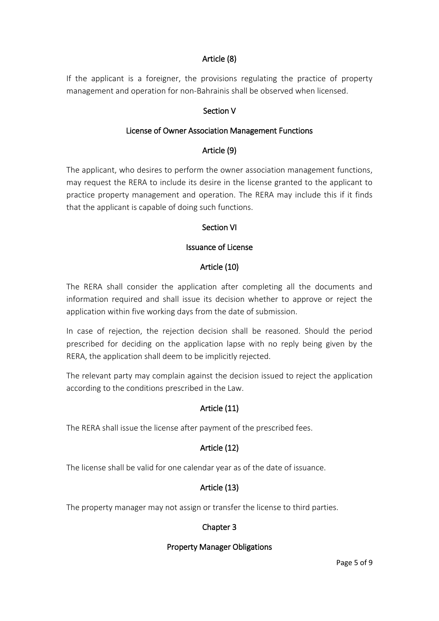# Article (8)

If the applicant is a foreigner, the provisions regulating the practice of property management and operation for non-Bahrainis shall be observed when licensed.

# Section V

#### License of Owner Association Management Functions

#### Article (9)

The applicant, who desires to perform the owner association management functions, may request the RERA to include its desire in the license granted to the applicant to practice property management and operation. The RERA may include this if it finds that the applicant is capable of doing such functions.

#### Section VI

#### Issuance of License

#### Article (10)

The RERA shall consider the application after completing all the documents and information required and shall issue its decision whether to approve or reject the application within five working days from the date of submission.

In case of rejection, the rejection decision shall be reasoned. Should the period prescribed for deciding on the application lapse with no reply being given by the RERA, the application shall deem to be implicitly rejected.

The relevant party may complain against the decision issued to reject the application according to the conditions prescribed in the Law.

#### Article (11)

The RERA shall issue the license after payment of the prescribed fees.

#### Article (12)

The license shall be valid for one calendar year as of the date of issuance.

#### Article (13)

The property manager may not assign or transfer the license to third parties.

#### Chapter 3

#### Property Manager Obligations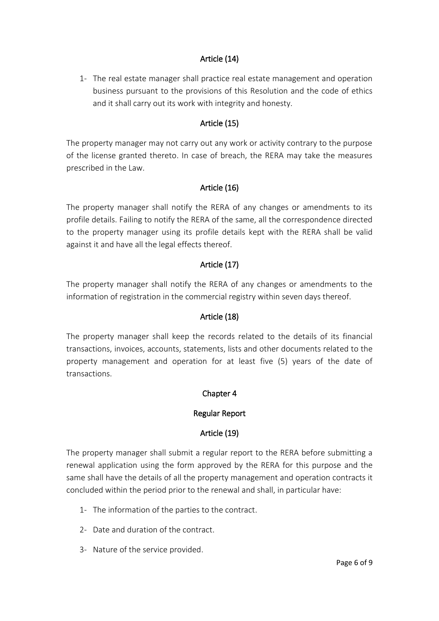# Article (14)

1- The real estate manager shall practice real estate management and operation business pursuant to the provisions of this Resolution and the code of ethics and it shall carry out its work with integrity and honesty.

# Article (15)

The property manager may not carry out any work or activity contrary to the purpose of the license granted thereto. In case of breach, the RERA may take the measures prescribed in the Law.

# Article (16)

The property manager shall notify the RERA of any changes or amendments to its profile details. Failing to notify the RERA of the same, all the correspondence directed to the property manager using its profile details kept with the RERA shall be valid against it and have all the legal effects thereof.

#### Article (17)

The property manager shall notify the RERA of any changes or amendments to the information of registration in the commercial registry within seven days thereof.

#### Article (18)

The property manager shall keep the records related to the details of its financial transactions, invoices, accounts, statements, lists and other documents related to the property management and operation for at least five (5) years of the date of transactions.

#### Chapter 4

#### Regular Report

#### Article (19)

The property manager shall submit a regular report to the RERA before submitting a renewal application using the form approved by the RERA for this purpose and the same shall have the details of all the property management and operation contracts it concluded within the period prior to the renewal and shall, in particular have:

- 1- The information of the parties to the contract.
- 2- Date and duration of the contract.
- 3- Nature of the service provided.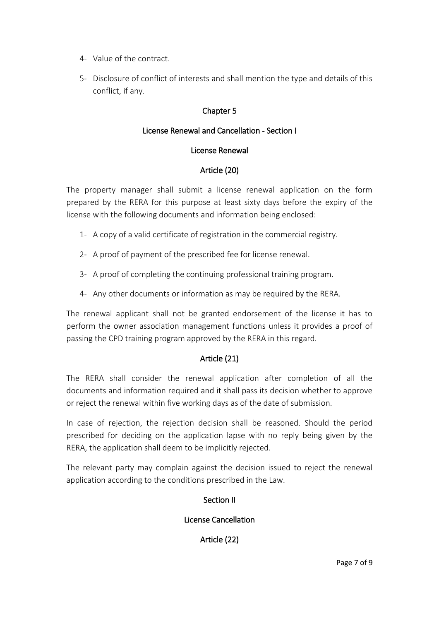- 4- Value of the contract.
- 5- Disclosure of conflict of interests and shall mention the type and details of this conflict, if any.

# Chapter 5

# License Renewal and Cancellation - Section I

#### License Renewal

#### Article (20)

The property manager shall submit a license renewal application on the form prepared by the RERA for this purpose at least sixty days before the expiry of the license with the following documents and information being enclosed:

- 1- A copy of a valid certificate of registration in the commercial registry.
- 2- A proof of payment of the prescribed fee for license renewal.
- 3- A proof of completing the continuing professional training program.
- 4- Any other documents or information as may be required by the RERA.

The renewal applicant shall not be granted endorsement of the license it has to perform the owner association management functions unless it provides a proof of passing the CPD training program approved by the RERA in this regard.

#### Article (21)

The RERA shall consider the renewal application after completion of all the documents and information required and it shall pass its decision whether to approve or reject the renewal within five working days as of the date of submission.

In case of rejection, the rejection decision shall be reasoned. Should the period prescribed for deciding on the application lapse with no reply being given by the RERA, the application shall deem to be implicitly rejected.

The relevant party may complain against the decision issued to reject the renewal application according to the conditions prescribed in the Law.

# Section II

#### License Cancellation

Article (22)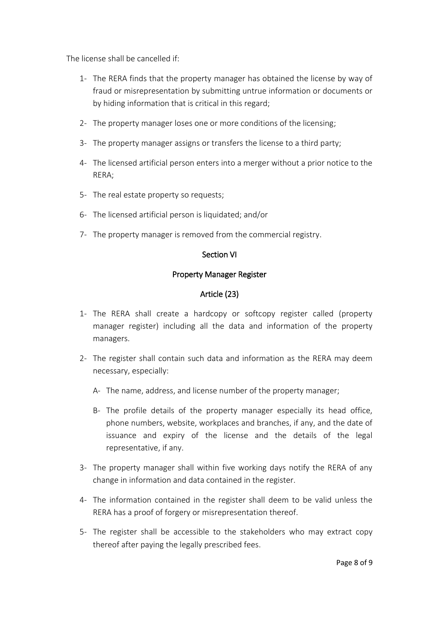The license shall be cancelled if:

- 1- The RERA finds that the property manager has obtained the license by way of fraud or misrepresentation by submitting untrue information or documents or by hiding information that is critical in this regard;
- 2- The property manager loses one or more conditions of the licensing;
- 3- The property manager assigns or transfers the license to a third party;
- 4- The licensed artificial person enters into a merger without a prior notice to the RERA;
- 5- The real estate property so requests;
- 6- The licensed artificial person is liquidated; and/or
- 7- The property manager is removed from the commercial registry.

# Section VI

#### Property Manager Register

# Article (23)

- 1- The RERA shall create a hardcopy or softcopy register called (property manager register) including all the data and information of the property managers.
- 2- The register shall contain such data and information as the RERA may deem necessary, especially:
	- A- The name, address, and license number of the property manager;
	- B- The profile details of the property manager especially its head office, phone numbers, website, workplaces and branches, if any, and the date of issuance and expiry of the license and the details of the legal representative, if any.
- 3- The property manager shall within five working days notify the RERA of any change in information and data contained in the register.
- 4- The information contained in the register shall deem to be valid unless the RERA has a proof of forgery or misrepresentation thereof.
- 5- The register shall be accessible to the stakeholders who may extract copy thereof after paying the legally prescribed fees.